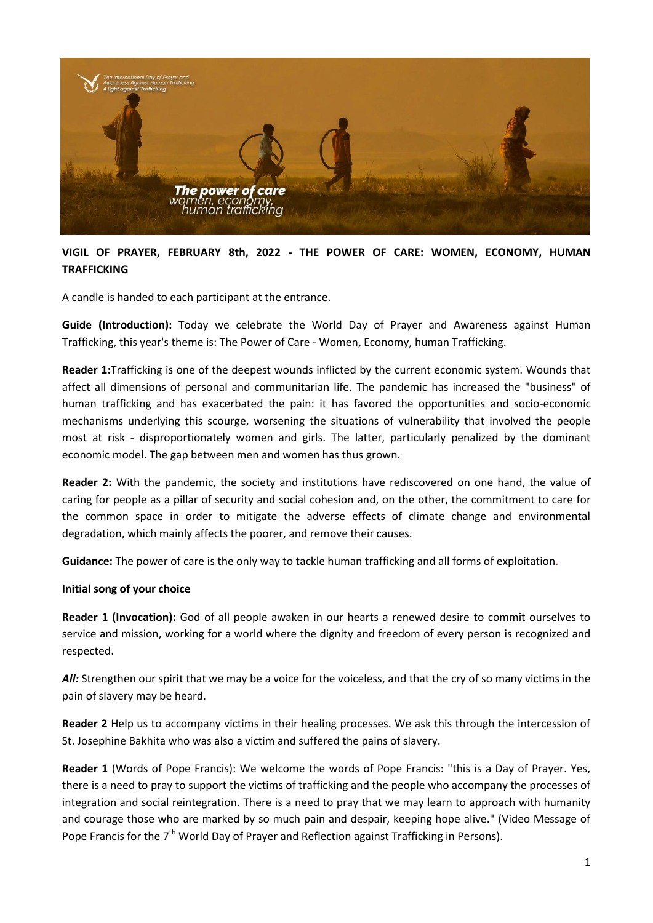

# **VIGIL OF PRAYER, FEBRUARY 8th, 2022 - THE POWER OF CARE: WOMEN, ECONOMY, HUMAN TRAFFICKING**

A candle is handed to each participant at the entrance.

**Guide (Introduction):** Today we celebrate the World Day of Prayer and Awareness against Human Trafficking, this year's theme is: The Power of Care - Women, Economy, human Trafficking.

**Reader 1:**Trafficking is one of the deepest wounds inflicted by the current economic system. Wounds that affect all dimensions of personal and communitarian life. The pandemic has increased the "business" of human trafficking and has exacerbated the pain: it has favored the opportunities and socio-economic mechanisms underlying this scourge, worsening the situations of vulnerability that involved the people most at risk - disproportionately women and girls. The latter, particularly penalized by the dominant economic model. The gap between men and women has thus grown.

**Reader 2:** With the pandemic, the society and institutions have rediscovered on one hand, the value of caring for people as a pillar of security and social cohesion and, on the other, the commitment to care for the common space in order to mitigate the adverse effects of climate change and environmental degradation, which mainly affects the poorer, and remove their causes.

**Guidance:** The power of care is the only way to tackle human trafficking and all forms of exploitation.

#### **Initial song of your choice**

**Reader 1 (Invocation):** God of all people awaken in our hearts a renewed desire to commit ourselves to service and mission, working for a world where the dignity and freedom of every person is recognized and respected.

All: Strengthen our spirit that we may be a voice for the voiceless, and that the cry of so many victims in the pain of slavery may be heard.

**Reader 2** Help us to accompany victims in their healing processes. We ask this through the intercession of St. Josephine Bakhita who was also a victim and suffered the pains of slavery.

**Reader 1** (Words of Pope Francis): We welcome the words of Pope Francis: "this is a Day of Prayer. Yes, there is a need to pray to support the victims of trafficking and the people who accompany the processes of integration and social reintegration. There is a need to pray that we may learn to approach with humanity and courage those who are marked by so much pain and despair, keeping hope alive." (Video Message of Pope Francis for the 7<sup>th</sup> World Day of Prayer and Reflection against Trafficking in Persons).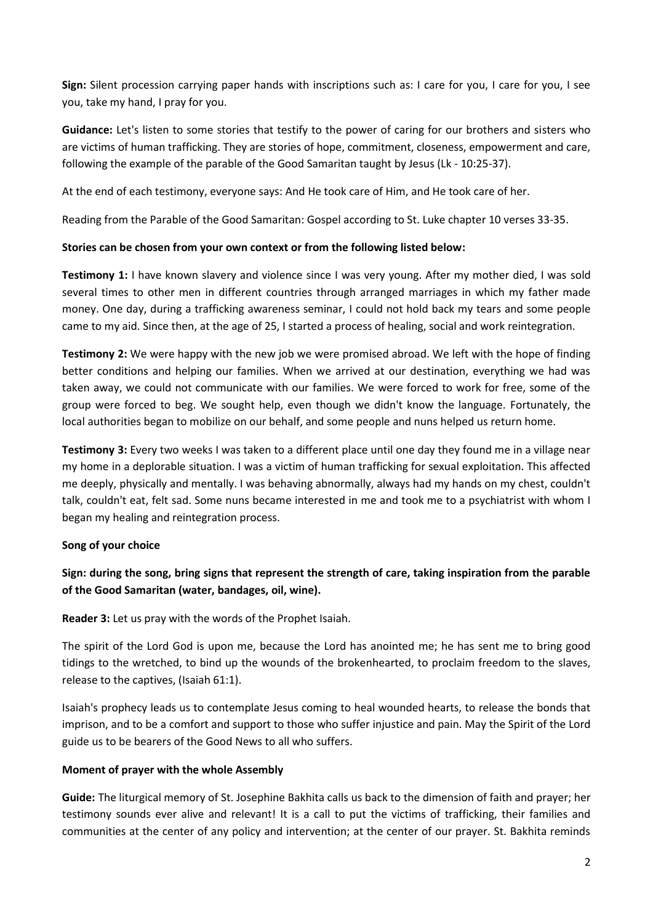**Sign:** Silent procession carrying paper hands with inscriptions such as: I care for you, I care for you, I see you, take my hand, I pray for you.

**Guidance:** Let's listen to some stories that testify to the power of caring for our brothers and sisters who are victims of human trafficking. They are stories of hope, commitment, closeness, empowerment and care, following the example of the parable of the Good Samaritan taught by Jesus (Lk - 10:25-37).

At the end of each testimony, everyone says: And He took care of Him, and He took care of her.

Reading from the Parable of the Good Samaritan: Gospel according to St. Luke chapter 10 verses 33-35.

#### **Stories can be chosen from your own context or from the following listed below:**

**Testimony 1:** I have known slavery and violence since I was very young. After my mother died, I was sold several times to other men in different countries through arranged marriages in which my father made money. One day, during a trafficking awareness seminar, I could not hold back my tears and some people came to my aid. Since then, at the age of 25, I started a process of healing, social and work reintegration.

**Testimony 2:** We were happy with the new job we were promised abroad. We left with the hope of finding better conditions and helping our families. When we arrived at our destination, everything we had was taken away, we could not communicate with our families. We were forced to work for free, some of the group were forced to beg. We sought help, even though we didn't know the language. Fortunately, the local authorities began to mobilize on our behalf, and some people and nuns helped us return home.

**Testimony 3:** Every two weeks I was taken to a different place until one day they found me in a village near my home in a deplorable situation. I was a victim of human trafficking for sexual exploitation. This affected me deeply, physically and mentally. I was behaving abnormally, always had my hands on my chest, couldn't talk, couldn't eat, felt sad. Some nuns became interested in me and took me to a psychiatrist with whom I began my healing and reintegration process.

### **Song of your choice**

# **Sign: during the song, bring signs that represent the strength of care, taking inspiration from the parable of the Good Samaritan (water, bandages, oil, wine).**

**Reader 3:** Let us pray with the words of the Prophet Isaiah.

The spirit of the Lord God is upon me, because the Lord has anointed me; he has sent me to bring good tidings to the wretched, to bind up the wounds of the brokenhearted, to proclaim freedom to the slaves, release to the captives, (Isaiah 61:1).

Isaiah's prophecy leads us to contemplate Jesus coming to heal wounded hearts, to release the bonds that imprison, and to be a comfort and support to those who suffer injustice and pain. May the Spirit of the Lord guide us to be bearers of the Good News to all who suffers.

### **Moment of prayer with the whole Assembly**

**Guide:** The liturgical memory of St. Josephine Bakhita calls us back to the dimension of faith and prayer; her testimony sounds ever alive and relevant! It is a call to put the victims of trafficking, their families and communities at the center of any policy and intervention; at the center of our prayer. St. Bakhita reminds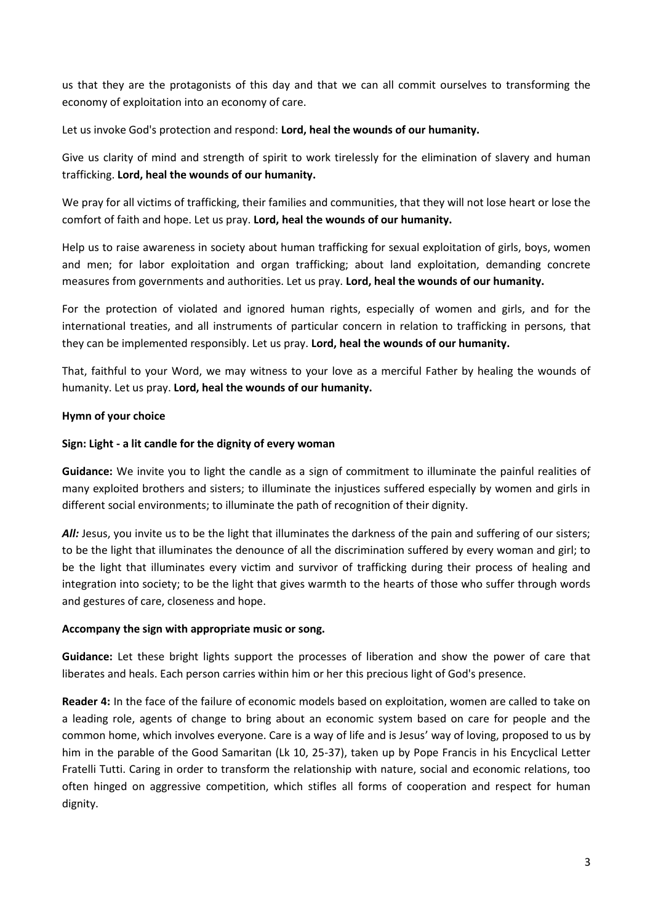us that they are the protagonists of this day and that we can all commit ourselves to transforming the economy of exploitation into an economy of care.

## Let us invoke God's protection and respond: **Lord, heal the wounds of our humanity.**

Give us clarity of mind and strength of spirit to work tirelessly for the elimination of slavery and human trafficking. **Lord, heal the wounds of our humanity.** 

We pray for all victims of trafficking, their families and communities, that they will not lose heart or lose the comfort of faith and hope. Let us pray. **Lord, heal the wounds of our humanity.**

Help us to raise awareness in society about human trafficking for sexual exploitation of girls, boys, women and men; for labor exploitation and organ trafficking; about land exploitation, demanding concrete measures from governments and authorities. Let us pray. **Lord, heal the wounds of our humanity.**

For the protection of violated and ignored human rights, especially of women and girls, and for the international treaties, and all instruments of particular concern in relation to trafficking in persons, that they can be implemented responsibly. Let us pray. **Lord, heal the wounds of our humanity.**

That, faithful to your Word, we may witness to your love as a merciful Father by healing the wounds of humanity. Let us pray. **Lord, heal the wounds of our humanity.**

### **Hymn of your choice**

### **Sign: Light - a lit candle for the dignity of every woman**

**Guidance:** We invite you to light the candle as a sign of commitment to illuminate the painful realities of many exploited brothers and sisters; to illuminate the injustices suffered especially by women and girls in different social environments; to illuminate the path of recognition of their dignity.

All: Jesus, you invite us to be the light that illuminates the darkness of the pain and suffering of our sisters; to be the light that illuminates the denounce of all the discrimination suffered by every woman and girl; to be the light that illuminates every victim and survivor of trafficking during their process of healing and integration into society; to be the light that gives warmth to the hearts of those who suffer through words and gestures of care, closeness and hope.

### **Accompany the sign with appropriate music or song.**

**Guidance:** Let these bright lights support the processes of liberation and show the power of care that liberates and heals. Each person carries within him or her this precious light of God's presence.

**Reader 4:** In the face of the failure of economic models based on exploitation, women are called to take on a leading role, agents of change to bring about an economic system based on care for people and the common home, which involves everyone. Care is a way of life and is Jesus' way of loving, proposed to us by him in the parable of the Good Samaritan (Lk 10, 25-37), taken up by Pope Francis in his Encyclical Letter Fratelli Tutti. Caring in order to transform the relationship with nature, social and economic relations, too often hinged on aggressive competition, which stifles all forms of cooperation and respect for human dignity.